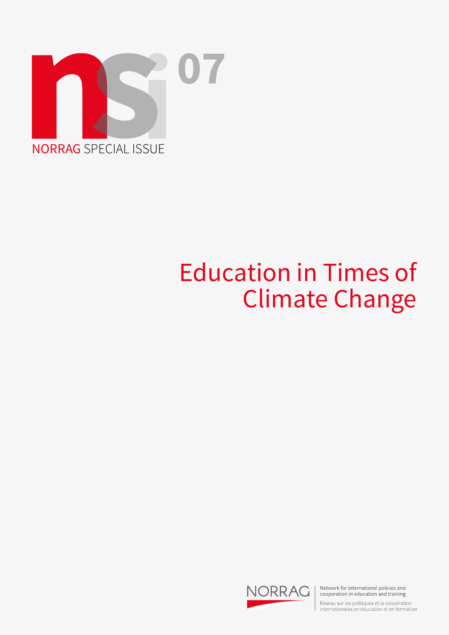

## Education in Times of Climate Change



Network for international policies and cooperation in education and training

Réseau sur les politiques et la coopération<br>internationales en éducation et en formation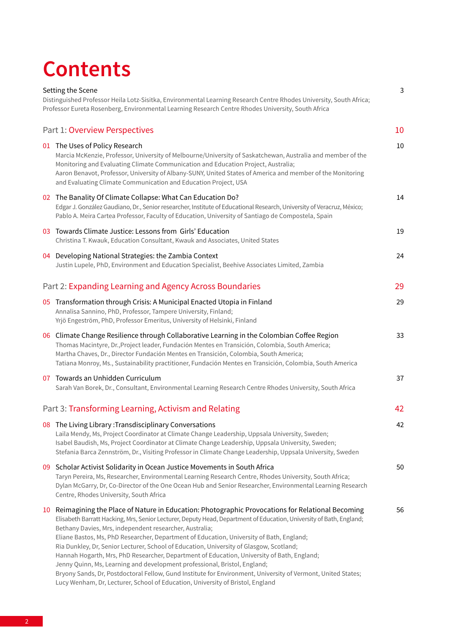## **Contents**

| Setting the Scene<br>3<br>Distinguished Professor Heila Lotz-Sisitka, Environmental Learning Research Centre Rhodes University, South Africa; |                                                                                                                                                                                                                                                                                                                                                                                                                                                                                                                                                                                                                                                                                                                                                                                                                                                       |        |
|-----------------------------------------------------------------------------------------------------------------------------------------------|-------------------------------------------------------------------------------------------------------------------------------------------------------------------------------------------------------------------------------------------------------------------------------------------------------------------------------------------------------------------------------------------------------------------------------------------------------------------------------------------------------------------------------------------------------------------------------------------------------------------------------------------------------------------------------------------------------------------------------------------------------------------------------------------------------------------------------------------------------|--------|
|                                                                                                                                               | Professor Eureta Rosenberg, Environmental Learning Research Centre Rhodes University, South Africa                                                                                                                                                                                                                                                                                                                                                                                                                                                                                                                                                                                                                                                                                                                                                    |        |
|                                                                                                                                               | Part 1: Overview Perspectives                                                                                                                                                                                                                                                                                                                                                                                                                                                                                                                                                                                                                                                                                                                                                                                                                         | 10     |
|                                                                                                                                               | 01 The Uses of Policy Research<br>Marcia McKenzie, Professor, University of Melbourne/University of Saskatchewan, Australia and member of the<br>Monitoring and Evaluating Climate Communication and Education Project, Australia;<br>Aaron Benavot, Professor, University of Albany-SUNY, United States of America and member of the Monitoring<br>and Evaluating Climate Communication and Education Project, USA                                                                                                                                                                                                                                                                                                                                                                                                                                   | $10\,$ |
|                                                                                                                                               | 02 The Banality Of Climate Collapse: What Can Education Do?<br>Edgar J. González Gaudiano, Dr., Senior researcher, Institute of Educational Research, University of Veracruz, México;<br>Pablo A. Meira Cartea Professor, Faculty of Education, University of Santiago de Compostela, Spain                                                                                                                                                                                                                                                                                                                                                                                                                                                                                                                                                           | 14     |
|                                                                                                                                               | 03 Towards Climate Justice: Lessons from Girls' Education<br>Christina T. Kwauk, Education Consultant, Kwauk and Associates, United States                                                                                                                                                                                                                                                                                                                                                                                                                                                                                                                                                                                                                                                                                                            | 19     |
|                                                                                                                                               | 04 Developing National Strategies: the Zambia Context<br>Justin Lupele, PhD, Environment and Education Specialist, Beehive Associates Limited, Zambia                                                                                                                                                                                                                                                                                                                                                                                                                                                                                                                                                                                                                                                                                                 | 24     |
|                                                                                                                                               | Part 2: Expanding Learning and Agency Across Boundaries                                                                                                                                                                                                                                                                                                                                                                                                                                                                                                                                                                                                                                                                                                                                                                                               | 29     |
|                                                                                                                                               | 05 Transformation through Crisis: A Municipal Enacted Utopia in Finland<br>Annalisa Sannino, PhD, Professor, Tampere University, Finland;<br>Yrjö Engeström, PhD, Professor Emeritus, University of Helsinki, Finland                                                                                                                                                                                                                                                                                                                                                                                                                                                                                                                                                                                                                                 | 29     |
|                                                                                                                                               | 06 Climate Change Resilience through Collaborative Learning in the Colombian Coffee Region<br>Thomas Macintyre, Dr., Project leader, Fundación Mentes en Transición, Colombia, South America;<br>Martha Chaves, Dr., Director Fundación Mentes en Transición, Colombia, South America;<br>Tatiana Monroy, Ms., Sustainability practitioner, Fundación Mentes en Transición, Colombia, South America                                                                                                                                                                                                                                                                                                                                                                                                                                                   | 33     |
|                                                                                                                                               | 07 Towards an Unhidden Curriculum<br>Sarah Van Borek, Dr., Consultant, Environmental Learning Research Centre Rhodes University, South Africa                                                                                                                                                                                                                                                                                                                                                                                                                                                                                                                                                                                                                                                                                                         | 37     |
|                                                                                                                                               | Part 3: Transforming Learning, Activism and Relating                                                                                                                                                                                                                                                                                                                                                                                                                                                                                                                                                                                                                                                                                                                                                                                                  | 42     |
|                                                                                                                                               | 08 The Living Library: Transdisciplinary Conversations<br>Laila Mendy, Ms, Project Coordinator at Climate Change Leadership, Uppsala University, Sweden;<br>Isabel Baudish, Ms, Project Coordinator at Climate Change Leadership, Uppsala University, Sweden;<br>Stefania Barca Zennström, Dr., Visiting Professor in Climate Change Leadership, Uppsala University, Sweden                                                                                                                                                                                                                                                                                                                                                                                                                                                                           | 42     |
|                                                                                                                                               | 09 Scholar Activist Solidarity in Ocean Justice Movements in South Africa<br>Taryn Pereira, Ms, Researcher, Environmental Learning Research Centre, Rhodes University, South Africa;<br>Dylan McGarry, Dr, Co-Director of the One Ocean Hub and Senior Researcher, Environmental Learning Research<br>Centre, Rhodes University, South Africa                                                                                                                                                                                                                                                                                                                                                                                                                                                                                                         | 50     |
| 10                                                                                                                                            | Reimagining the Place of Nature in Education: Photographic Provocations for Relational Becoming<br>Elisabeth Barratt Hacking, Mrs, Senior Lecturer, Deputy Head, Department of Education, University of Bath, England;<br>Bethany Davies, Mrs, independent researcher, Australia;<br>Eliane Bastos, Ms, PhD Researcher, Department of Education, University of Bath, England;<br>Ria Dunkley, Dr, Senior Lecturer, School of Education, University of Glasgow, Scotland;<br>Hannah Hogarth, Mrs, PhD Researcher, Department of Education, University of Bath, England;<br>Jenny Quinn, Ms, Learning and development professional, Bristol, England;<br>Bryony Sands, Dr, Postdoctoral Fellow, Gund Institute for Environment, University of Vermont, United States;<br>Lucy Wenham, Dr, Lecturer, School of Education, University of Bristol, England | 56     |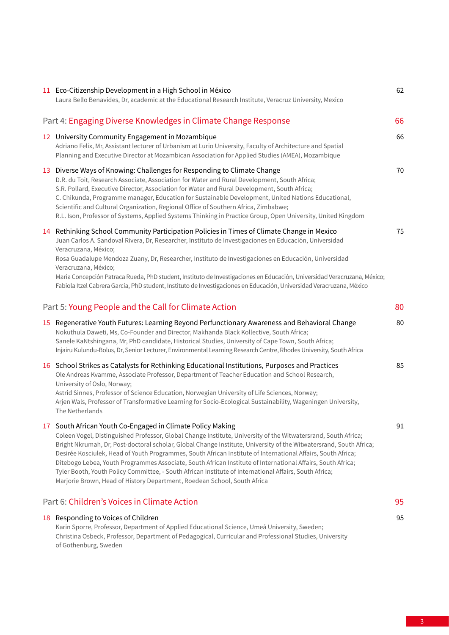|                                                      | 11 Eco-Citizenship Development in a High School in México<br>Laura Bello Benavides, Dr, academic at the Educational Research Institute, Veracruz University, Mexico                                                                                                                                                                                                                                                                                                                                                                                                                                                                                                                                                  | 62 |
|------------------------------------------------------|----------------------------------------------------------------------------------------------------------------------------------------------------------------------------------------------------------------------------------------------------------------------------------------------------------------------------------------------------------------------------------------------------------------------------------------------------------------------------------------------------------------------------------------------------------------------------------------------------------------------------------------------------------------------------------------------------------------------|----|
|                                                      | Part 4: Engaging Diverse Knowledges in Climate Change Response                                                                                                                                                                                                                                                                                                                                                                                                                                                                                                                                                                                                                                                       | 66 |
|                                                      | 12 University Community Engagement in Mozambique<br>Adriano Felix, Mr, Assistant lecturer of Urbanism at Lurio University, Faculty of Architecture and Spatial<br>Planning and Executive Director at Mozambican Association for Applied Studies (AMEA), Mozambique                                                                                                                                                                                                                                                                                                                                                                                                                                                   | 66 |
|                                                      | 13 Diverse Ways of Knowing: Challenges for Responding to Climate Change<br>D.R. du Toit, Research Associate, Association for Water and Rural Development, South Africa;<br>S.R. Pollard, Executive Director, Association for Water and Rural Development, South Africa;<br>C. Chikunda, Programme manager, Education for Sustainable Development, United Nations Educational,<br>Scientific and Cultural Organization, Regional Office of Southern Africa, Zimbabwe;<br>R.L. Ison, Professor of Systems, Applied Systems Thinking in Practice Group, Open University, United Kingdom                                                                                                                                 | 70 |
|                                                      | 14 Rethinking School Community Participation Policies in Times of Climate Change in Mexico<br>Juan Carlos A. Sandoval Rivera, Dr, Researcher, Instituto de Investigaciones en Educación, Universidad<br>Veracruzana, México;<br>Rosa Guadalupe Mendoza Zuany, Dr, Researcher, Instituto de Investigaciones en Educación, Universidad<br>Veracruzana, México;<br>María Concepción Patraca Rueda, PhD student, Instituto de Investigaciones en Educación, Universidad Veracruzana, México;<br>Fabiola Itzel Cabrera García, PhD student, Instituto de Investigaciones en Educación, Universidad Veracruzana, México                                                                                                    | 75 |
| Part 5: Young People and the Call for Climate Action |                                                                                                                                                                                                                                                                                                                                                                                                                                                                                                                                                                                                                                                                                                                      | 80 |
|                                                      | 15 Regenerative Youth Futures: Learning Beyond Perfunctionary Awareness and Behavioral Change<br>Nokuthula Daweti, Ms, Co-Founder and Director, Makhanda Black Kollective, South Africa;<br>Sanele KaNtshingana, Mr, PhD candidate, Historical Studies, University of Cape Town, South Africa;<br>Injairu Kulundu-Bolus, Dr, Senior Lecturer, Environmental Learning Research Centre, Rhodes University, South Africa                                                                                                                                                                                                                                                                                                | 80 |
|                                                      | 16 School Strikes as Catalysts for Rethinking Educational Institutions, Purposes and Practices<br>Ole Andreas Kvamme, Associate Professor, Department of Teacher Education and School Research,<br>University of Oslo, Norway;<br>Astrid Sinnes, Professor of Science Education, Norwegian University of Life Sciences, Norway;<br>Arjen Wals, Professor of Transformative Learning for Socio-Ecological Sustainability, Wageningen University,<br>The Netherlands                                                                                                                                                                                                                                                   | 85 |
|                                                      | South African Youth Co-Engaged in Climate Policy Making<br>Coleen Vogel, Distinguished Professor, Global Change Institute, University of the Witwatersrand, South Africa;<br>Bright Nkrumah, Dr, Post-doctoral scholar, Global Change Institute, University of the Witwatersrand, South Africa;<br>Desirée Kosciulek, Head of Youth Programmes, South African Institute of International Affairs, South Africa;<br>Ditebogo Lebea, Youth Programmes Associate, South African Institute of International Affairs, South Africa;<br>Tyler Booth, Youth Policy Committee, - South African Institute of International Affairs, South Africa;<br>Marjorie Brown, Head of History Department, Roedean School, South Africa | 91 |
|                                                      | Part 6: Children's Voices in Climate Action                                                                                                                                                                                                                                                                                                                                                                                                                                                                                                                                                                                                                                                                          | 95 |
|                                                      | 18 Responding to Voices of Children<br>Karin Sporre, Professor, Department of Applied Educational Science, Umeå University, Sweden;<br>Christina Osbeck, Professor, Department of Pedagogical, Curricular and Professional Studies, University<br>of Gothenburg, Sweden                                                                                                                                                                                                                                                                                                                                                                                                                                              | 95 |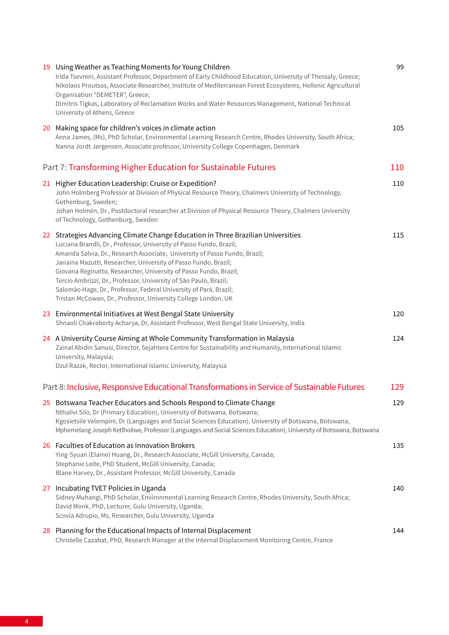| 19 Using Weather as Teaching Moments for Young Children<br>Irida Tsevreni, Assistant Professor, Department of Early Childhood Education, University of Thessaly, Greece;<br>Nikolaos Proutsos, Associate Researcher, Institute of Mediterranean Forest Ecosystems, Hellenic Agricultural<br>Organisation "DEMETER", Greece;<br>Dimitris Tigkas, Laboratory of Reclamation Works and Water Resources Management, National Technical<br>University of Athens, Greece                                                                                                                        | 99  |
|-------------------------------------------------------------------------------------------------------------------------------------------------------------------------------------------------------------------------------------------------------------------------------------------------------------------------------------------------------------------------------------------------------------------------------------------------------------------------------------------------------------------------------------------------------------------------------------------|-----|
| 20 Making space for children's voices in climate action<br>Anna James, (Ms), PhD Scholar, Environmental Learning Research Centre, Rhodes University, South Africa;<br>Nanna Jordt Jørgensen, Associate professor, University College Copenhagen, Denmark                                                                                                                                                                                                                                                                                                                                  | 105 |
| Part 7: Transforming Higher Education for Sustainable Futures                                                                                                                                                                                                                                                                                                                                                                                                                                                                                                                             | 110 |
| 21 Higher Education Leadership: Cruise or Expedition?<br>John Holmberg Professor at Division of Physical Resource Theory, Chalmers University of Technology,<br>Gothenburg, Sweden;<br>Johan Holmén, Dr., Postdoctoral researcher at Division of Physical Resource Theory, Chalmers University<br>of Technology, Gothenburg, Sweden                                                                                                                                                                                                                                                       | 110 |
| 22 Strategies Advancing Climate Change Education in Three Brazilian Universities<br>Luciana Brandli, Dr., Professor, University of Passo Fundo, Brazil;<br>Amanda Salvia, Dr., Research Associate, University of Passo Fundo, Brazil;<br>Janaina Mazutti, Researcher, University of Passo Fundo, Brazil;<br>Giovana Reginatto, Researcher, University of Passo Fundo, Brazil;<br>Tercio Ambrizzi, Dr., Professor, University of São Paulo, Brazil;<br>Salomão Hage, Dr., Professor, Federal University of Pará, Brazil;<br>Tristan McCowan, Dr., Professor, University College London, UK | 115 |
| 23 Environmental Initiatives at West Bengal State University<br>Shnaoli Chakraborty Acharya, Dr, Assistant Professor, West Bengal State University, India                                                                                                                                                                                                                                                                                                                                                                                                                                 | 120 |
| 24 A University Course Aiming at Whole Community Transformation in Malaysia<br>Zainal Abidin Sanusi, Director, Sejahtera Centre for Sustainability and Humanity, International Islamic<br>University, Malaysia;<br>Dzul Razak, Rector, International Islamic University, Malaysia                                                                                                                                                                                                                                                                                                         | 124 |
| Part 8: Inclusive, Responsive Educational Transformations in Service of Sustainable Futures                                                                                                                                                                                                                                                                                                                                                                                                                                                                                               | 129 |
| 25 Botswana Teacher Educators and Schools Respond to Climate Change<br>Nthalivi Silo, Dr (Primary Education), University of Botswana, Botswana;<br>Kgosietsile Velempini, Dr (Languages and Social Sciences Education), University of Botswana, Botswana;<br>Mphemelang Joseph Ketlhoilwe, Professor (Languages and Social Sciences Education), University of Botswana, Botswana                                                                                                                                                                                                          | 129 |
| 26 Faculties of Education as Innovation Brokers<br>Ying-Syuan (Elaine) Huang, Dr., Research Associate, McGill University, Canada;<br>Stephanie Leite, PhD Student, McGill University, Canada;<br>Blane Harvey, Dr., Assistant Professor, McGill University, Canada                                                                                                                                                                                                                                                                                                                        | 135 |
| 27 Incubating TVET Policies in Uganda<br>Sidney Muhangi, PhD Scholar, Environmental Learning Research Centre, Rhodes University, South Africa;<br>David Monk, PhD, Lecturer, Gulu University, Uganda;<br>Scovia Adrupio, Ms, Researcher, Gulu University, Uganda                                                                                                                                                                                                                                                                                                                          | 140 |
| 28 Planning for the Educational Impacts of Internal Displacement<br>Christelle Cazabat, PhD, Research Manager at the Internal Displacement Monitoring Centre, France                                                                                                                                                                                                                                                                                                                                                                                                                      | 144 |